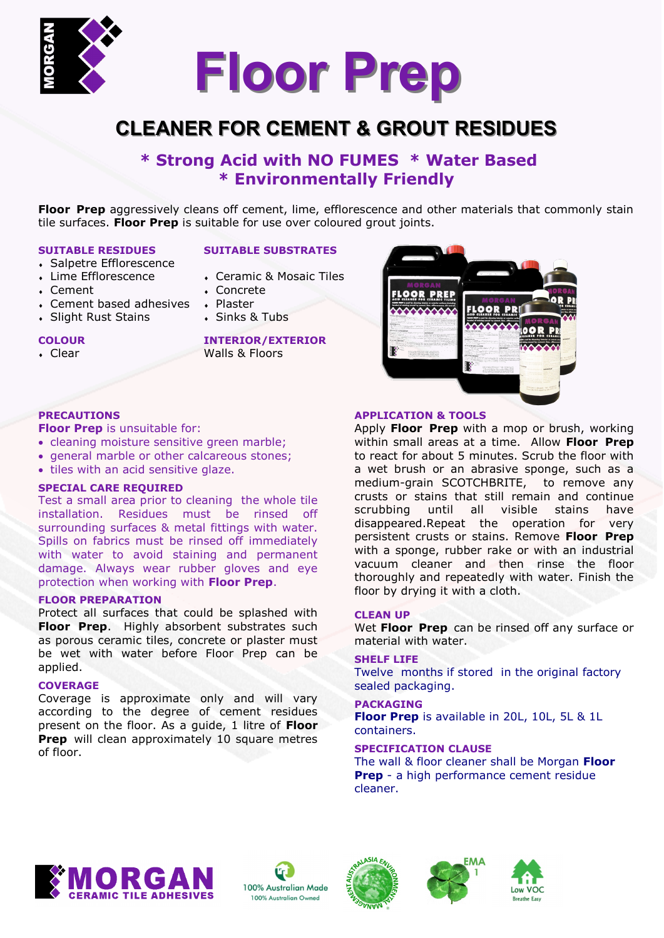

# **CLEANER FOR CEMENT & GROUT RESIDUES**

# **\* Strong Acid with NO FUMES \* Water Based \* Environmentally Friendly**

**Floor Prep** aggressively cleans off cement, lime, efflorescence and other materials that commonly stain tile surfaces. **Floor Prep** is suitable for use over coloured grout joints.

#### **SUITABLE RESIDUES**

- Salpetre Efflorescence
- Lime Efflorescence
- Cement
- Cement based adhesives

**Floor Prep** is unsuitable for:

**SPECIAL CARE REQUIRED**

**FLOOR PREPARATION**

applied. **COVERAGE**

of floor.

• tiles with an acid sensitive glaze.

• cleaning moisture sensitive green marble; general marble or other calcareous stones;

protection when working with **Floor Prep**.

Test a small area prior to cleaning the whole tile installation. Residues must be rinsed off surrounding surfaces & metal fittings with water. Spills on fabrics must be rinsed off immediately with water to avoid staining and permanent damage. Always wear rubber gloves and eye

Protect all surfaces that could be splashed with **Floor Prep**. Highly absorbent substrates such as porous ceramic tiles, concrete or plaster must be wet with water before Floor Prep can be

Coverage is approximate only and will vary according to the degree of cement residues present on the floor. As a guide, 1 litre of **Floor Prep** will clean approximately 10 square metres

Slight Rust Stains

#### **SUITABLE SUBSTRATES**

- Ceramic & Mosaic Tiles
- Concrete
- Plaster
- Sinks & Tubs

#### **COLOUR**

**PRECAUTIONS**

Clear

**INTERIOR/EXTERIOR** Walls & Floors



## **APPLICATION & TOOLS**

Apply **Floor Prep** with a mop or brush, working within small areas at a time. Allow **Floor Prep** to react for about 5 minutes. Scrub the floor with a wet brush or an abrasive sponge, such as a medium-grain SCOTCHBRITE, to remove any crusts or stains that still remain and continue scrubbing until all visible stains have disappeared.Repeat the operation for very persistent crusts or stains. Remove **Floor Prep**  with a sponge, rubber rake or with an industrial vacuum cleaner and then rinse the floor thoroughly and repeatedly with water. Finish the floor by drying it with a cloth.

#### **CLEAN UP**

Wet **Floor Prep** can be rinsed off any surface or material with water.

#### **SHELF LIFE**

Twelve months if stored in the original factory sealed packaging.

#### **PACKAGING**

**Floor Prep** is available in 20L, 10L, 5L & 1L containers.

# **SPECIFICATION CLAUSE**

The wall & floor cleaner shall be Morgan **Floor Prep** - a high performance cement residue cleaner.